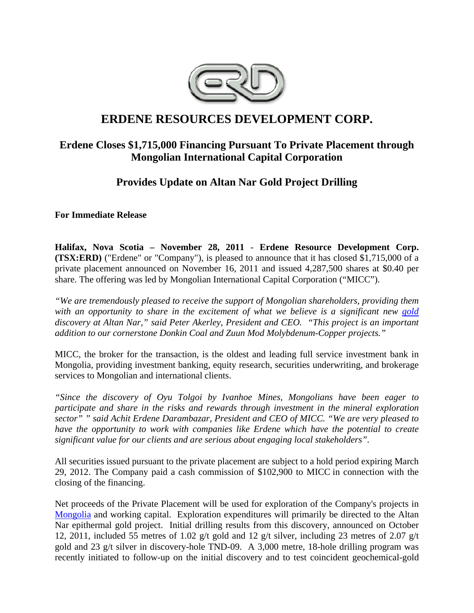

# **ERDENE RESOURCES DEVELOPMENT CORP.**

### **Erdene Closes \$1,715,000 Financing Pursuant To Private Placement through Mongolian International Capital Corporation**

## **Provides Update on Altan Nar Gold Project Drilling**

**For Immediate Release** 

**Halifax, Nova Scotia – November 28, 2011** - **Erdene Resource Development Corp. (TSX:ERD)** ("Erdene" or "Company"), is pleased to announce that it has closed \$1,715,000 of a private placement announced on November 16, 2011 and issued 4,287,500 shares at \$0.40 per share. The offering was led by Mongolian International Capital Corporation ("MICC").

*"We are tremendously pleased to receive the support of Mongolian shareholders, providing them with an opportunity to share in the excitement of what we believe is a significant new gold discovery at Altan Nar," said Peter Akerley, President and CEO. "This project is an important addition to our cornerstone Donkin Coal and Zuun Mod Molybdenum-Copper projects."*

MICC, the broker for the transaction, is the oldest and leading full service investment bank in Mongolia, providing investment banking, equity research, securities underwriting, and brokerage services to Mongolian and international clients.

*"Since the discovery of Oyu Tolgoi by Ivanhoe Mines, Mongolians have been eager to participate and share in the risks and rewards through investment in the mineral exploration sector" " said Achit Erdene Darambazar, President and CEO of MICC. "We are very pleased to have the opportunity to work with companies like Erdene which have the potential to create significant value for our clients and are serious about engaging local stakeholders".* 

All securities issued pursuant to the private placement are subject to a hold period expiring March 29, 2012. The Company paid a cash commission of \$102,900 to MICC in connection with the closing of the financing.

Net proceeds of the Private Placement will be used for exploration of the Company's projects in Mongolia and working capital. Exploration expenditures will primarily be directed to the Altan Nar epithermal gold project. Initial drilling results from this discovery, announced on October 12, 2011, included 55 metres of 1.02 g/t gold and 12 g/t silver, including 23 metres of 2.07 g/t gold and 23 g/t silver in discovery-hole TND-09. A 3,000 metre, 18-hole drilling program was recently initiated to follow-up on the initial discovery and to test coincident geochemical-gold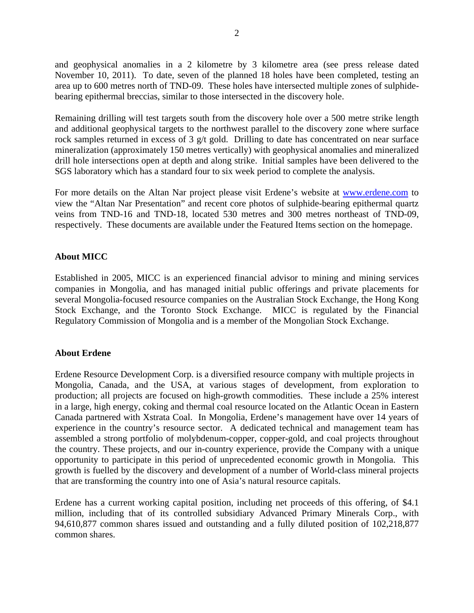and geophysical anomalies in a 2 kilometre by 3 kilometre area (see press release dated November 10, 2011). To date, seven of the planned 18 holes have been completed, testing an area up to 600 metres north of TND-09. These holes have intersected multiple zones of sulphidebearing epithermal breccias, similar to those intersected in the discovery hole.

Remaining drilling will test targets south from the discovery hole over a 500 metre strike length and additional geophysical targets to the northwest parallel to the discovery zone where surface rock samples returned in excess of 3 g/t gold. Drilling to date has concentrated on near surface mineralization (approximately 150 metres vertically) with geophysical anomalies and mineralized drill hole intersections open at depth and along strike. Initial samples have been delivered to the SGS laboratory which has a standard four to six week period to complete the analysis.

For more details on the Altan Nar project please visit Erdene's website at www.erdene.com to view the "Altan Nar Presentation" and recent core photos of sulphide-bearing epithermal quartz veins from TND-16 and TND-18, located 530 metres and 300 metres northeast of TND-09, respectively. These documents are available under the Featured Items section on the homepage.

#### **About MICC**

Established in 2005, MICC is an experienced financial advisor to mining and mining services companies in Mongolia, and has managed initial public offerings and private placements for several Mongolia-focused resource companies on the Australian Stock Exchange, the Hong Kong Stock Exchange, and the Toronto Stock Exchange. MICC is regulated by the Financial Regulatory Commission of Mongolia and is a member of the Mongolian Stock Exchange.

#### **About Erdene**

Erdene Resource Development Corp. is a diversified resource company with multiple projects in Mongolia, Canada, and the USA, at various stages of development, from exploration to production; all projects are focused on high-growth commodities. These include a 25% interest in a large, high energy, coking and thermal coal resource located on the Atlantic Ocean in Eastern Canada partnered with Xstrata Coal. In Mongolia, Erdene's management have over 14 years of experience in the country's resource sector. A dedicated technical and management team has assembled a strong portfolio of molybdenum-copper, copper-gold, and coal projects throughout the country. These projects, and our in-country experience, provide the Company with a unique opportunity to participate in this period of unprecedented economic growth in Mongolia. This growth is fuelled by the discovery and development of a number of World-class mineral projects that are transforming the country into one of Asia's natural resource capitals.

Erdene has a current working capital position, including net proceeds of this offering, of \$4.1 million, including that of its controlled subsidiary Advanced Primary Minerals Corp., with 94,610,877 common shares issued and outstanding and a fully diluted position of 102,218,877 common shares.